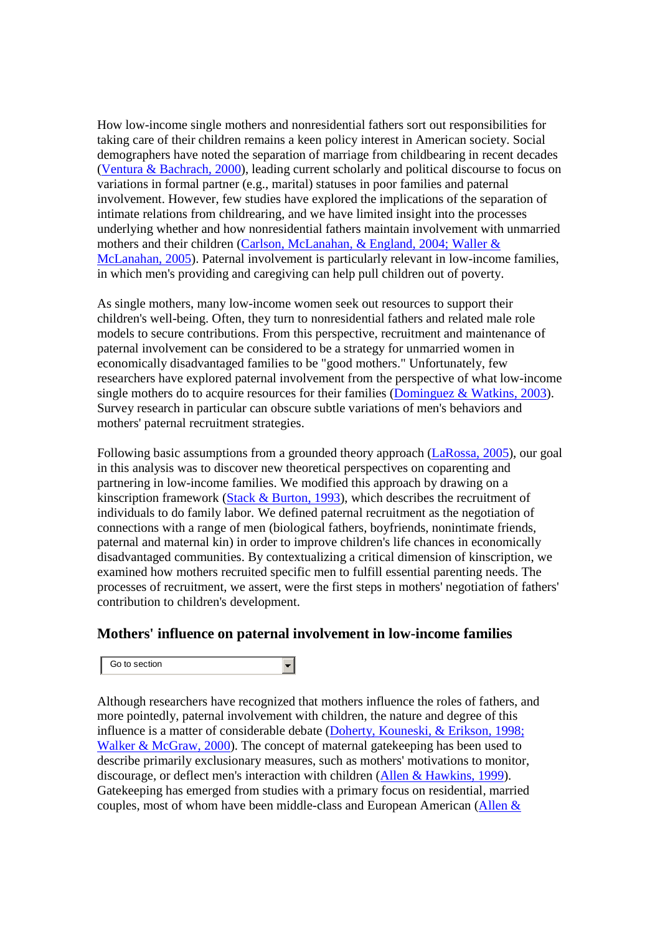How low-income single mothers and nonresidential fathers sort out responsibilities for taking care of their children remains a keen policy interest in American society. Social demographers have noted the separation of marriage from childbearing in recent decades (Ventura & Bachrach, 2000), leading current scholarly and political discourse to focus on variations in formal partner (e.g., marital) statuses in poor families and paternal involvement. However, few studies have explored the implications of the separation of intimate relations from childrearing, and we have limited insight into the processes underlying whether and how nonresidential fathers maintain involvement with unmarried mothers and their children (Carlson, McLanahan, & England, 2004; Waller & McLanahan, 2005). Paternal involvement is particularly relevant in low-income families, in which men's providing and caregiving can help pull children out of poverty.

As single mothers, many low-income women seek out resources to support their children's well-being. Often, they turn to nonresidential fathers and related male role models to secure contributions. From this perspective, recruitment and maintenance of paternal involvement can be considered to be a strategy for unmarried women in economically disadvantaged families to be "good mothers." Unfortunately, few researchers have explored paternal involvement from the perspective of what low-income single mothers do to acquire resources for their families (Dominguez & Watkins, 2003). Survey research in particular can obscure subtle variations of men's behaviors and mothers' paternal recruitment strategies.

Following basic assumptions from a grounded theory approach (LaRossa, 2005), our goal in this analysis was to discover new theoretical perspectives on coparenting and partnering in low-income families. We modified this approach by drawing on a kinscription framework (Stack & Burton, 1993), which describes the recruitment of individuals to do family labor. We defined paternal recruitment as the negotiation of connections with a range of men (biological fathers, boyfriends, nonintimate friends, paternal and maternal kin) in order to improve children's life chances in economically disadvantaged communities. By contextualizing a critical dimension of kinscription, we examined how mothers recruited specific men to fulfill essential parenting needs. The processes of recruitment, we assert, were the first steps in mothers' negotiation of fathers' contribution to children's development.

# **Mothers' influence on paternal involvement in low-income families**

 $\mathbf{r}$ 

Go to section

Although researchers have recognized that mothers influence the roles of fathers, and more pointedly, paternal involvement with children, the nature and degree of this influence is a matter of considerable debate (Doherty, Kouneski, & Erikson, 1998; Walker & McGraw, 2000). The concept of maternal gatekeeping has been used to describe primarily exclusionary measures, such as mothers' motivations to monitor, discourage, or deflect men's interaction with children (Allen & Hawkins, 1999). Gatekeeping has emerged from studies with a primary focus on residential, married couples, most of whom have been middle-class and European American (Allen &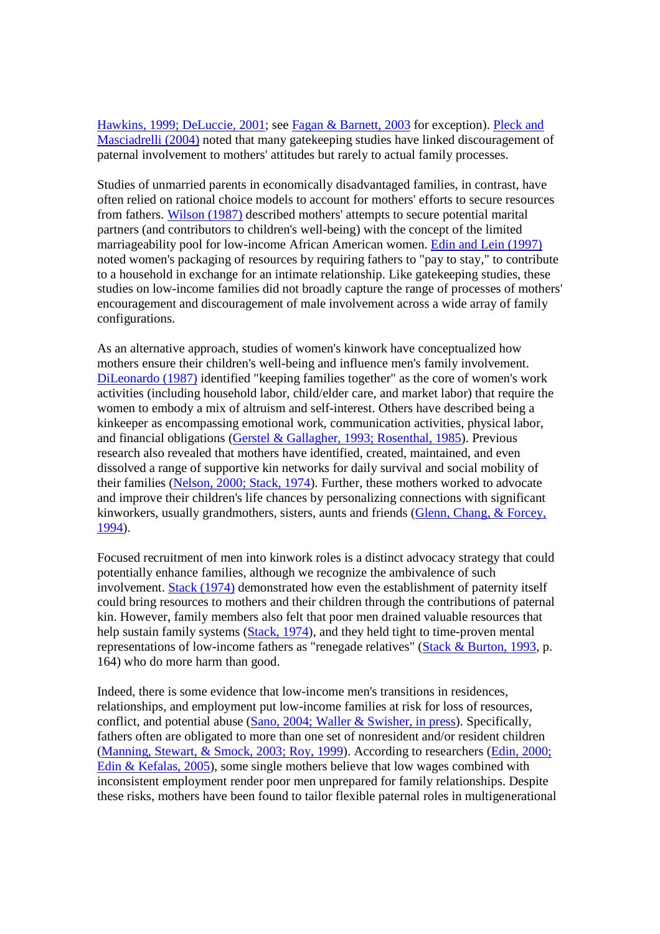Hawkins, 1999; DeLuccie, 2001; see Fagan & Barnett, 2003 for exception). Pleck and Masciadrelli (2004) noted that many gatekeeping studies have linked discouragement of paternal involvement to mothers' attitudes but rarely to actual family processes.

Studies of unmarried parents in economically disadvantaged families, in contrast, have often relied on rational choice models to account for mothers' efforts to secure resources from fathers. Wilson (1987) described mothers' attempts to secure potential marital partners (and contributors to children's well-being) with the concept of the limited marriageability pool for low-income African American women. Edin and Lein (1997) noted women's packaging of resources by requiring fathers to "pay to stay," to contribute to a household in exchange for an intimate relationship. Like gatekeeping studies, these studies on low-income families did not broadly capture the range of processes of mothers' encouragement and discouragement of male involvement across a wide array of family configurations.

As an alternative approach, studies of women's kinwork have conceptualized how mothers ensure their children's well-being and influence men's family involvement. DiLeonardo (1987) identified "keeping families together" as the core of women's work activities (including household labor, child/elder care, and market labor) that require the women to embody a mix of altruism and self-interest. Others have described being a kinkeeper as encompassing emotional work, communication activities, physical labor, and financial obligations (Gerstel & Gallagher, 1993; Rosenthal, 1985). Previous research also revealed that mothers have identified, created, maintained, and even dissolved a range of supportive kin networks for daily survival and social mobility of their families (Nelson, 2000; Stack, 1974). Further, these mothers worked to advocate and improve their children's life chances by personalizing connections with significant kinworkers, usually grandmothers, sisters, aunts and friends (Glenn, Chang, & Forcey, 1994).

Focused recruitment of men into kinwork roles is a distinct advocacy strategy that could potentially enhance families, although we recognize the ambivalence of such involvement. Stack (1974) demonstrated how even the establishment of paternity itself could bring resources to mothers and their children through the contributions of paternal kin. However, family members also felt that poor men drained valuable resources that help sustain family systems (Stack, 1974), and they held tight to time-proven mental representations of low-income fathers as "renegade relatives" (Stack & Burton, 1993, p. 164) who do more harm than good.

Indeed, there is some evidence that low-income men's transitions in residences, relationships, and employment put low-income families at risk for loss of resources, conflict, and potential abuse (Sano, 2004; Waller & Swisher, in press). Specifically, fathers often are obligated to more than one set of nonresident and/or resident children (Manning, Stewart, & Smock, 2003; Roy, 1999). According to researchers (Edin, 2000; Edin & Kefalas, 2005), some single mothers believe that low wages combined with inconsistent employment render poor men unprepared for family relationships. Despite these risks, mothers have been found to tailor flexible paternal roles in multigenerational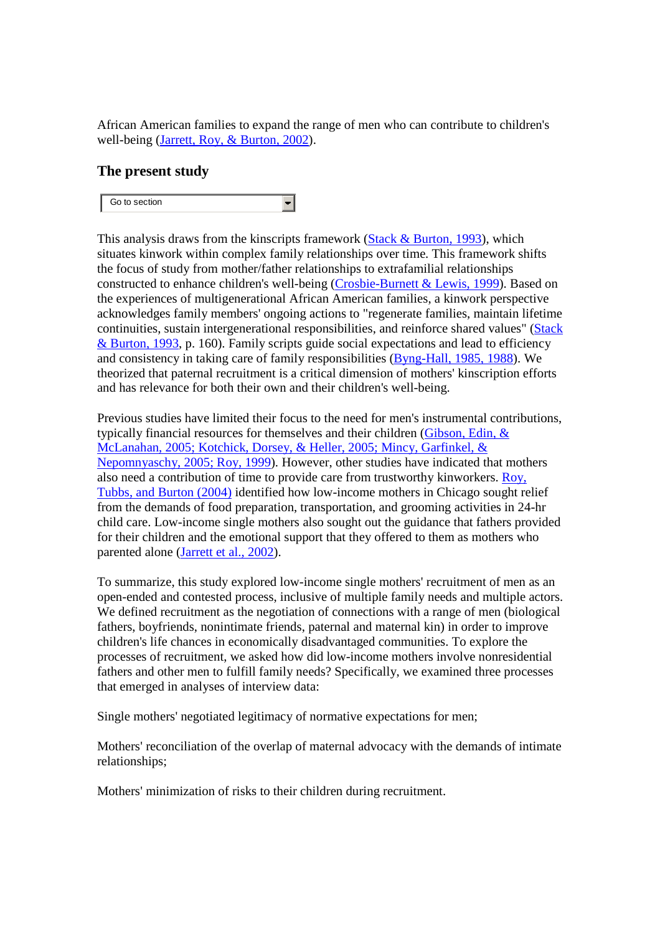African American families to expand the range of men who can contribute to children's well-being (Jarrett, Roy, & Burton, 2002).

 $\left| \cdot \right|$ 

# **The present study**

Go to section

This analysis draws from the kinscripts framework (Stack & Burton, 1993), which situates kinwork within complex family relationships over time. This framework shifts the focus of study from mother/father relationships to extrafamilial relationships constructed to enhance children's well-being (Crosbie-Burnett & Lewis, 1999). Based on the experiences of multigenerational African American families, a kinwork perspective acknowledges family members' ongoing actions to "regenerate families, maintain lifetime continuities, sustain intergenerational responsibilities, and reinforce shared values" (Stack & Burton, 1993, p. 160). Family scripts guide social expectations and lead to efficiency and consistency in taking care of family responsibilities (Byng-Hall, 1985, 1988). We theorized that paternal recruitment is a critical dimension of mothers' kinscription efforts and has relevance for both their own and their children's well-being.

Previous studies have limited their focus to the need for men's instrumental contributions, typically financial resources for themselves and their children (Gibson, Edin, & McLanahan, 2005; Kotchick, Dorsey, & Heller, 2005; Mincy, Garfinkel, & Nepomnyaschy, 2005; Roy, 1999). However, other studies have indicated that mothers also need a contribution of time to provide care from trustworthy kinworkers. Roy, Tubbs, and Burton (2004) identified how low-income mothers in Chicago sought relief from the demands of food preparation, transportation, and grooming activities in 24-hr child care. Low-income single mothers also sought out the guidance that fathers provided for their children and the emotional support that they offered to them as mothers who parented alone (Jarrett et al., 2002).

To summarize, this study explored low-income single mothers' recruitment of men as an open-ended and contested process, inclusive of multiple family needs and multiple actors. We defined recruitment as the negotiation of connections with a range of men (biological fathers, boyfriends, nonintimate friends, paternal and maternal kin) in order to improve children's life chances in economically disadvantaged communities. To explore the processes of recruitment, we asked how did low-income mothers involve nonresidential fathers and other men to fulfill family needs? Specifically, we examined three processes that emerged in analyses of interview data:

Single mothers' negotiated legitimacy of normative expectations for men;

Mothers' reconciliation of the overlap of maternal advocacy with the demands of intimate relationships;

Mothers' minimization of risks to their children during recruitment.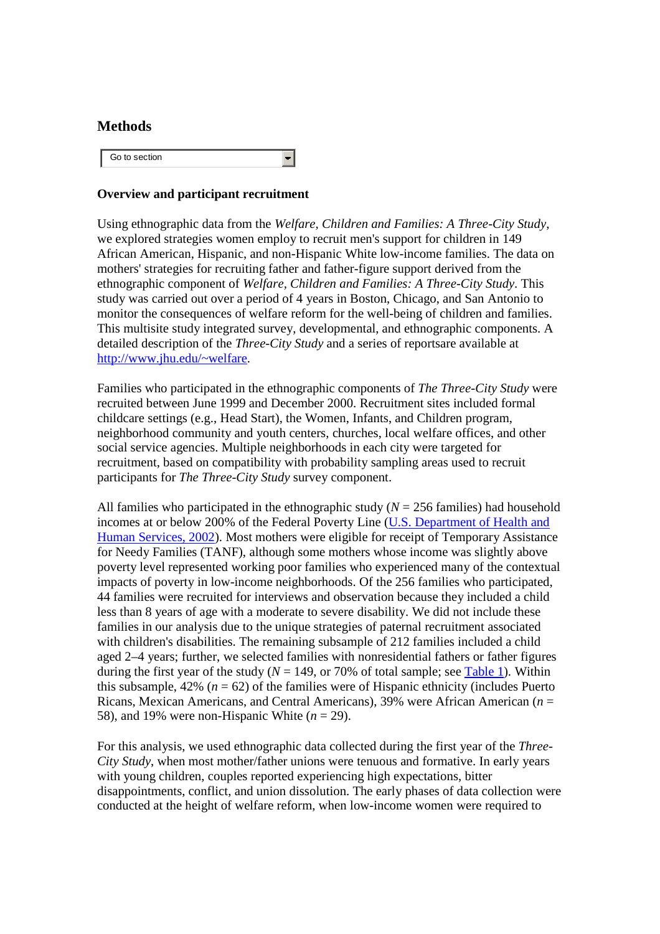# **Methods**

Go to section

 $\left| \cdot \right|$ 

## **Overview and participant recruitment**

Using ethnographic data from the *Welfare, Children and Families: A Three-City Study*, we explored strategies women employ to recruit men's support for children in 149 African American, Hispanic, and non-Hispanic White low-income families. The data on mothers' strategies for recruiting father and father-figure support derived from the ethnographic component of *Welfare, Children and Families: A Three-City Study*. This study was carried out over a period of 4 years in Boston, Chicago, and San Antonio to monitor the consequences of welfare reform for the well-being of children and families. This multisite study integrated survey, developmental, and ethnographic components. A detailed description of the *Three-City Study* and a series of reportsare available at http://www.jhu.edu/~welfare.

Families who participated in the ethnographic components of *The Three-City Study* were recruited between June 1999 and December 2000. Recruitment sites included formal childcare settings (e.g., Head Start), the Women, Infants, and Children program, neighborhood community and youth centers, churches, local welfare offices, and other social service agencies. Multiple neighborhoods in each city were targeted for recruitment, based on compatibility with probability sampling areas used to recruit participants for *The Three-City Study* survey component.

All families who participated in the ethnographic study  $(N = 256$  families) had household incomes at or below 200% of the Federal Poverty Line (U.S. Department of Health and Human Services, 2002). Most mothers were eligible for receipt of Temporary Assistance for Needy Families (TANF), although some mothers whose income was slightly above poverty level represented working poor families who experienced many of the contextual impacts of poverty in low-income neighborhoods. Of the 256 families who participated, 44 families were recruited for interviews and observation because they included a child less than 8 years of age with a moderate to severe disability. We did not include these families in our analysis due to the unique strategies of paternal recruitment associated with children's disabilities. The remaining subsample of 212 families included a child aged 2–4 years; further, we selected families with nonresidential fathers or father figures during the first year of the study ( $N = 149$ , or 70% of total sample; see Table 1). Within this subsample,  $42\%$  ( $n = 62$ ) of the families were of Hispanic ethnicity (includes Puerto Ricans, Mexican Americans, and Central Americans), 39% were African American (*n* = 58), and 19% were non-Hispanic White  $(n = 29)$ .

For this analysis, we used ethnographic data collected during the first year of the *Three-City Study*, when most mother/father unions were tenuous and formative. In early years with young children, couples reported experiencing high expectations, bitter disappointments, conflict, and union dissolution. The early phases of data collection were conducted at the height of welfare reform, when low-income women were required to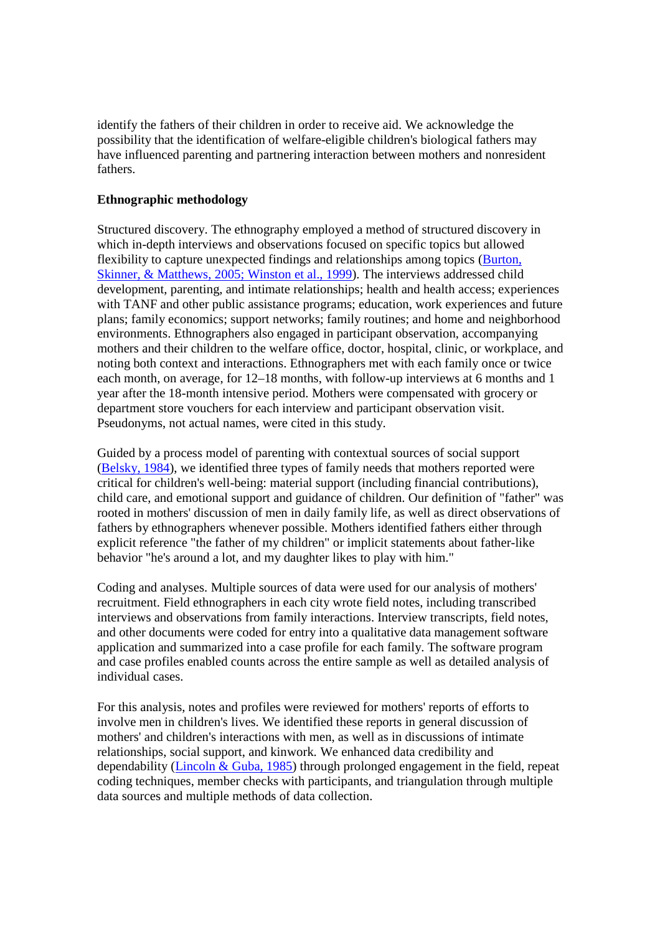identify the fathers of their children in order to receive aid. We acknowledge the possibility that the identification of welfare-eligible children's biological fathers may have influenced parenting and partnering interaction between mothers and nonresident fathers.

## **Ethnographic methodology**

Structured discovery. The ethnography employed a method of structured discovery in which in-depth interviews and observations focused on specific topics but allowed flexibility to capture unexpected findings and relationships among topics (Burton, Skinner, & Matthews, 2005; Winston et al., 1999). The interviews addressed child development, parenting, and intimate relationships; health and health access; experiences with TANF and other public assistance programs; education, work experiences and future plans; family economics; support networks; family routines; and home and neighborhood environments. Ethnographers also engaged in participant observation, accompanying mothers and their children to the welfare office, doctor, hospital, clinic, or workplace, and noting both context and interactions. Ethnographers met with each family once or twice each month, on average, for 12–18 months, with follow-up interviews at 6 months and 1 year after the 18-month intensive period. Mothers were compensated with grocery or department store vouchers for each interview and participant observation visit. Pseudonyms, not actual names, were cited in this study.

Guided by a process model of parenting with contextual sources of social support (Belsky, 1984), we identified three types of family needs that mothers reported were critical for children's well-being: material support (including financial contributions), child care, and emotional support and guidance of children. Our definition of "father" was rooted in mothers' discussion of men in daily family life, as well as direct observations of fathers by ethnographers whenever possible. Mothers identified fathers either through explicit reference "the father of my children" or implicit statements about father-like behavior "he's around a lot, and my daughter likes to play with him."

Coding and analyses. Multiple sources of data were used for our analysis of mothers' recruitment. Field ethnographers in each city wrote field notes, including transcribed interviews and observations from family interactions. Interview transcripts, field notes, and other documents were coded for entry into a qualitative data management software application and summarized into a case profile for each family. The software program and case profiles enabled counts across the entire sample as well as detailed analysis of individual cases.

For this analysis, notes and profiles were reviewed for mothers' reports of efforts to involve men in children's lives. We identified these reports in general discussion of mothers' and children's interactions with men, as well as in discussions of intimate relationships, social support, and kinwork. We enhanced data credibility and dependability (Lincoln & Guba, 1985) through prolonged engagement in the field, repeat coding techniques, member checks with participants, and triangulation through multiple data sources and multiple methods of data collection.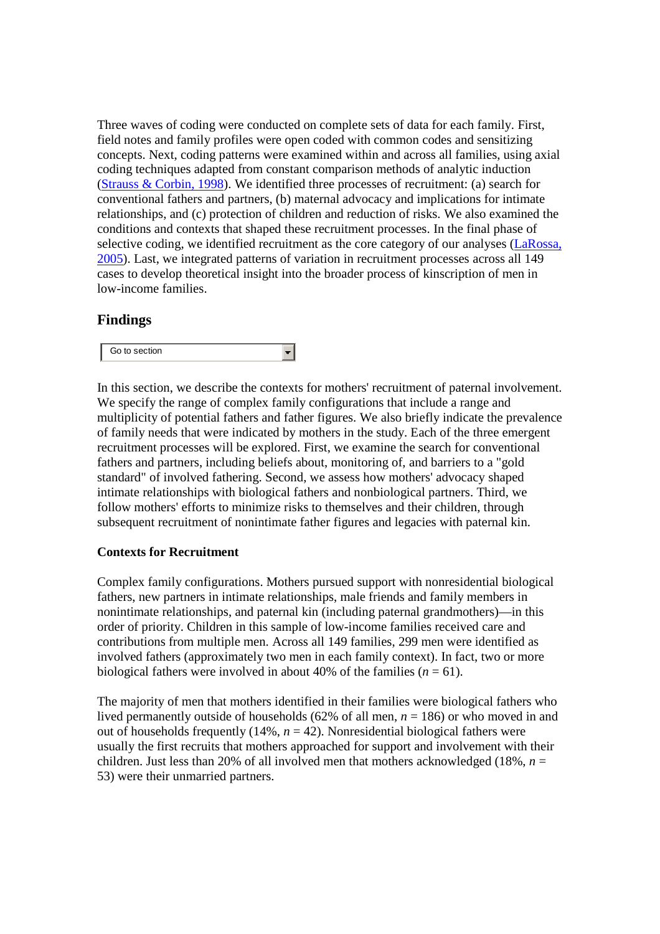Three waves of coding were conducted on complete sets of data for each family. First, field notes and family profiles were open coded with common codes and sensitizing concepts. Next, coding patterns were examined within and across all families, using axial coding techniques adapted from constant comparison methods of analytic induction (Strauss & Corbin, 1998). We identified three processes of recruitment: (a) search for conventional fathers and partners, (b) maternal advocacy and implications for intimate relationships, and (c) protection of children and reduction of risks. We also examined the conditions and contexts that shaped these recruitment processes. In the final phase of selective coding, we identified recruitment as the core category of our analyses (LaRossa, 2005). Last, we integrated patterns of variation in recruitment processes across all 149 cases to develop theoretical insight into the broader process of kinscription of men in low-income families.

# **Findings**



In this section, we describe the contexts for mothers' recruitment of paternal involvement. We specify the range of complex family configurations that include a range and multiplicity of potential fathers and father figures. We also briefly indicate the prevalence of family needs that were indicated by mothers in the study. Each of the three emergent recruitment processes will be explored. First, we examine the search for conventional fathers and partners, including beliefs about, monitoring of, and barriers to a "gold standard" of involved fathering. Second, we assess how mothers' advocacy shaped intimate relationships with biological fathers and nonbiological partners. Third, we follow mothers' efforts to minimize risks to themselves and their children, through subsequent recruitment of nonintimate father figures and legacies with paternal kin.

### **Contexts for Recruitment**

Complex family configurations. Mothers pursued support with nonresidential biological fathers, new partners in intimate relationships, male friends and family members in nonintimate relationships, and paternal kin (including paternal grandmothers)—in this order of priority. Children in this sample of low-income families received care and contributions from multiple men. Across all 149 families, 299 men were identified as involved fathers (approximately two men in each family context). In fact, two or more biological fathers were involved in about 40% of the families  $(n = 61)$ .

The majority of men that mothers identified in their families were biological fathers who lived permanently outside of households (62% of all men, *n* = 186) or who moved in and out of households frequently  $(14\%, n = 42)$ . Nonresidential biological fathers were usually the first recruits that mothers approached for support and involvement with their children. Just less than 20% of all involved men that mothers acknowledged (18%,  $n =$ 53) were their unmarried partners.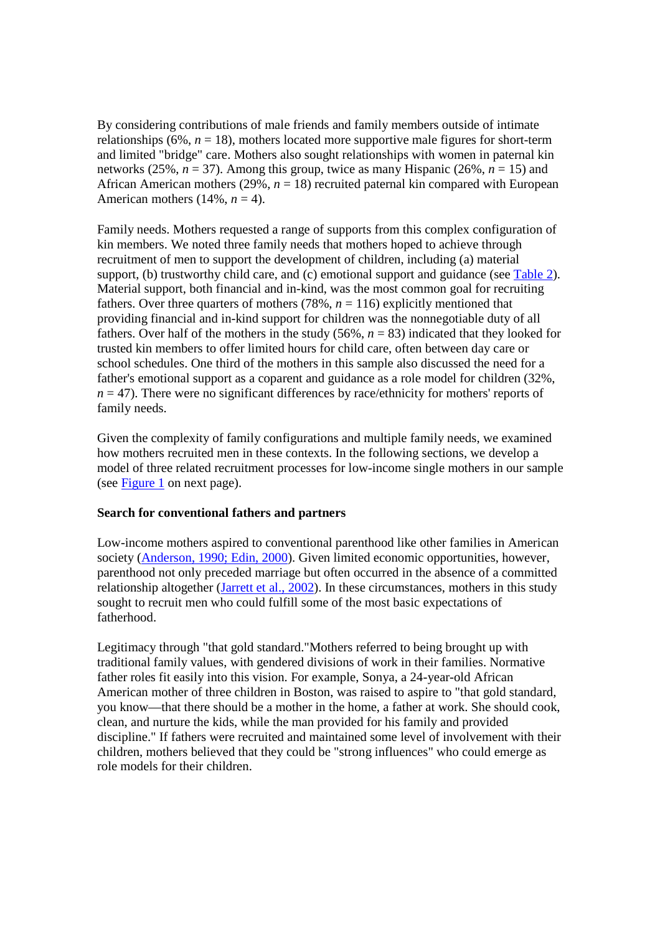By considering contributions of male friends and family members outside of intimate relationships (6%,  $n = 18$ ), mothers located more supportive male figures for short-term and limited "bridge" care. Mothers also sought relationships with women in paternal kin networks (25%,  $n = 37$ ). Among this group, twice as many Hispanic (26%,  $n = 15$ ) and African American mothers (29%,  $n = 18$ ) recruited paternal kin compared with European American mothers  $(14\%, n = 4)$ .

Family needs. Mothers requested a range of supports from this complex configuration of kin members. We noted three family needs that mothers hoped to achieve through recruitment of men to support the development of children, including (a) material support, (b) trustworthy child care, and (c) emotional support and guidance (see Table 2). Material support, both financial and in-kind, was the most common goal for recruiting fathers. Over three quarters of mothers (78%,  $n = 116$ ) explicitly mentioned that providing financial and in-kind support for children was the nonnegotiable duty of all fathers. Over half of the mothers in the study  $(56\%, n = 83)$  indicated that they looked for trusted kin members to offer limited hours for child care, often between day care or school schedules. One third of the mothers in this sample also discussed the need for a father's emotional support as a coparent and guidance as a role model for children (32%,  $n = 47$ ). There were no significant differences by race/ethnicity for mothers' reports of family needs.

Given the complexity of family configurations and multiple family needs, we examined how mothers recruited men in these contexts. In the following sections, we develop a model of three related recruitment processes for low-income single mothers in our sample (see Figure 1 on next page).

#### **Search for conventional fathers and partners**

Low-income mothers aspired to conventional parenthood like other families in American society (Anderson, 1990; Edin, 2000). Given limited economic opportunities, however, parenthood not only preceded marriage but often occurred in the absence of a committed relationship altogether (Jarrett et al., 2002). In these circumstances, mothers in this study sought to recruit men who could fulfill some of the most basic expectations of fatherhood.

Legitimacy through "that gold standard."Mothers referred to being brought up with traditional family values, with gendered divisions of work in their families. Normative father roles fit easily into this vision. For example, Sonya, a 24-year-old African American mother of three children in Boston, was raised to aspire to "that gold standard, you know—that there should be a mother in the home, a father at work. She should cook, clean, and nurture the kids, while the man provided for his family and provided discipline." If fathers were recruited and maintained some level of involvement with their children, mothers believed that they could be "strong influences" who could emerge as role models for their children.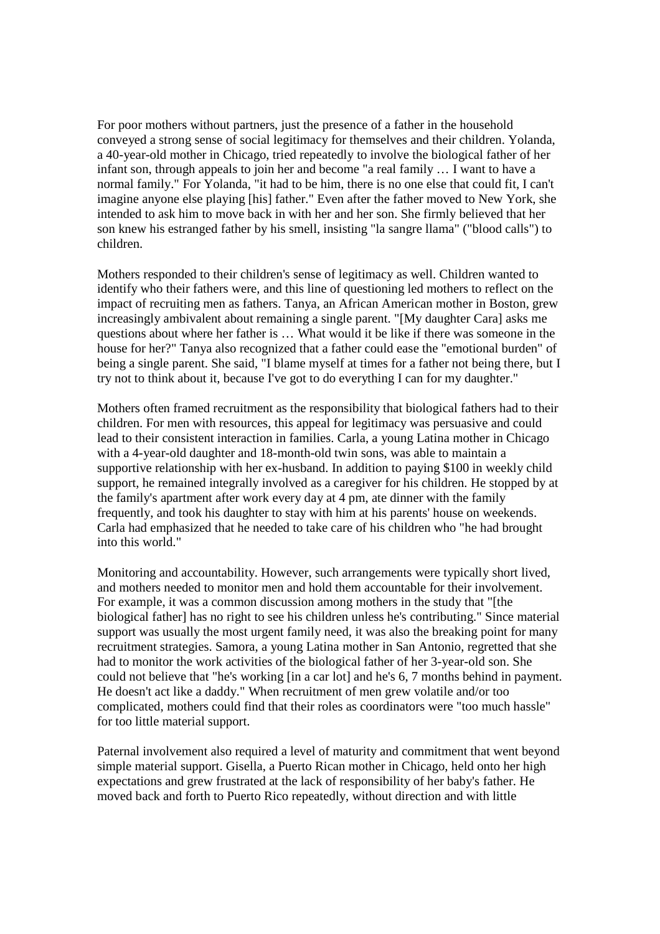For poor mothers without partners, just the presence of a father in the household conveyed a strong sense of social legitimacy for themselves and their children. Yolanda, a 40-year-old mother in Chicago, tried repeatedly to involve the biological father of her infant son, through appeals to join her and become "a real family … I want to have a normal family." For Yolanda, "it had to be him, there is no one else that could fit, I can't imagine anyone else playing [his] father." Even after the father moved to New York, she intended to ask him to move back in with her and her son. She firmly believed that her son knew his estranged father by his smell, insisting "la sangre llama" ("blood calls") to children.

Mothers responded to their children's sense of legitimacy as well. Children wanted to identify who their fathers were, and this line of questioning led mothers to reflect on the impact of recruiting men as fathers. Tanya, an African American mother in Boston, grew increasingly ambivalent about remaining a single parent. "[My daughter Cara] asks me questions about where her father is … What would it be like if there was someone in the house for her?" Tanya also recognized that a father could ease the "emotional burden" of being a single parent. She said, "I blame myself at times for a father not being there, but I try not to think about it, because I've got to do everything I can for my daughter."

Mothers often framed recruitment as the responsibility that biological fathers had to their children. For men with resources, this appeal for legitimacy was persuasive and could lead to their consistent interaction in families. Carla, a young Latina mother in Chicago with a 4-year-old daughter and 18-month-old twin sons, was able to maintain a supportive relationship with her ex-husband. In addition to paying \$100 in weekly child support, he remained integrally involved as a caregiver for his children. He stopped by at the family's apartment after work every day at 4 pm, ate dinner with the family frequently, and took his daughter to stay with him at his parents' house on weekends. Carla had emphasized that he needed to take care of his children who "he had brought into this world."

Monitoring and accountability. However, such arrangements were typically short lived, and mothers needed to monitor men and hold them accountable for their involvement. For example, it was a common discussion among mothers in the study that "[the biological father] has no right to see his children unless he's contributing." Since material support was usually the most urgent family need, it was also the breaking point for many recruitment strategies. Samora, a young Latina mother in San Antonio, regretted that she had to monitor the work activities of the biological father of her 3-year-old son. She could not believe that "he's working [in a car lot] and he's 6, 7 months behind in payment. He doesn't act like a daddy." When recruitment of men grew volatile and/or too complicated, mothers could find that their roles as coordinators were "too much hassle" for too little material support.

Paternal involvement also required a level of maturity and commitment that went beyond simple material support. Gisella, a Puerto Rican mother in Chicago, held onto her high expectations and grew frustrated at the lack of responsibility of her baby's father. He moved back and forth to Puerto Rico repeatedly, without direction and with little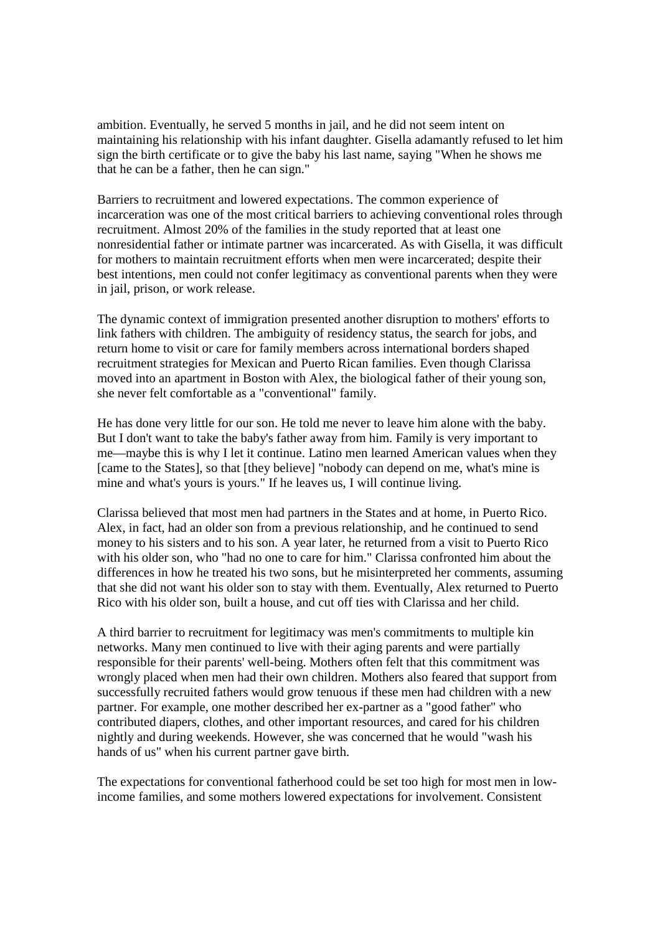ambition. Eventually, he served 5 months in jail, and he did not seem intent on maintaining his relationship with his infant daughter. Gisella adamantly refused to let him sign the birth certificate or to give the baby his last name, saying "When he shows me that he can be a father, then he can sign."

Barriers to recruitment and lowered expectations. The common experience of incarceration was one of the most critical barriers to achieving conventional roles through recruitment. Almost 20% of the families in the study reported that at least one nonresidential father or intimate partner was incarcerated. As with Gisella, it was difficult for mothers to maintain recruitment efforts when men were incarcerated; despite their best intentions, men could not confer legitimacy as conventional parents when they were in jail, prison, or work release.

The dynamic context of immigration presented another disruption to mothers' efforts to link fathers with children. The ambiguity of residency status, the search for jobs, and return home to visit or care for family members across international borders shaped recruitment strategies for Mexican and Puerto Rican families. Even though Clarissa moved into an apartment in Boston with Alex, the biological father of their young son, she never felt comfortable as a "conventional" family.

He has done very little for our son. He told me never to leave him alone with the baby. But I don't want to take the baby's father away from him. Family is very important to me—maybe this is why I let it continue. Latino men learned American values when they [came to the States], so that [they believe] "nobody can depend on me, what's mine is mine and what's yours is yours." If he leaves us, I will continue living.

Clarissa believed that most men had partners in the States and at home, in Puerto Rico. Alex, in fact, had an older son from a previous relationship, and he continued to send money to his sisters and to his son. A year later, he returned from a visit to Puerto Rico with his older son, who "had no one to care for him." Clarissa confronted him about the differences in how he treated his two sons, but he misinterpreted her comments, assuming that she did not want his older son to stay with them. Eventually, Alex returned to Puerto Rico with his older son, built a house, and cut off ties with Clarissa and her child.

A third barrier to recruitment for legitimacy was men's commitments to multiple kin networks. Many men continued to live with their aging parents and were partially responsible for their parents' well-being. Mothers often felt that this commitment was wrongly placed when men had their own children. Mothers also feared that support from successfully recruited fathers would grow tenuous if these men had children with a new partner. For example, one mother described her ex-partner as a "good father" who contributed diapers, clothes, and other important resources, and cared for his children nightly and during weekends. However, she was concerned that he would "wash his hands of us" when his current partner gave birth.

The expectations for conventional fatherhood could be set too high for most men in lowincome families, and some mothers lowered expectations for involvement. Consistent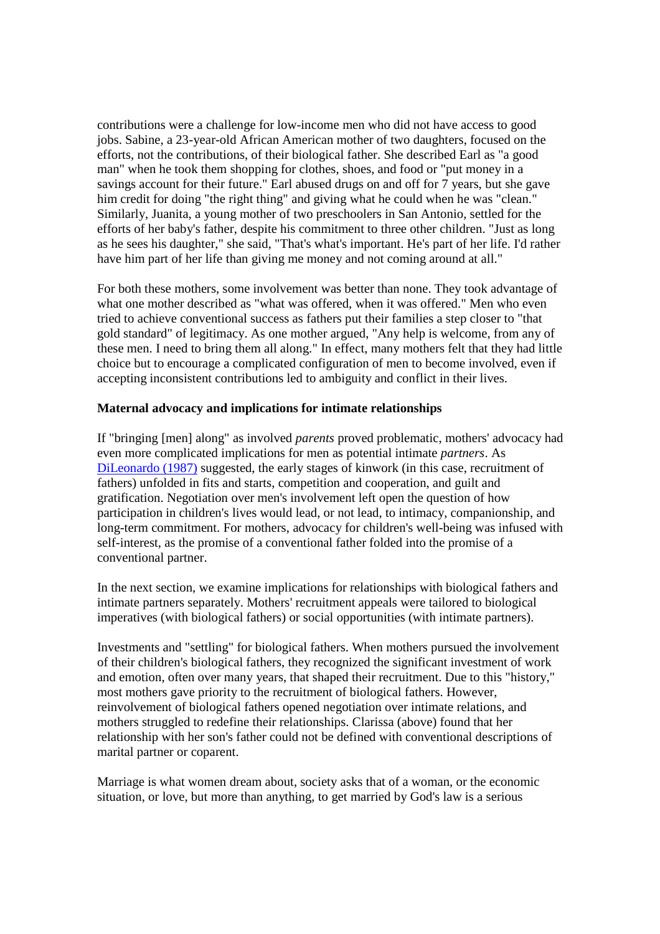contributions were a challenge for low-income men who did not have access to good jobs. Sabine, a 23-year-old African American mother of two daughters, focused on the efforts, not the contributions, of their biological father. She described Earl as "a good man" when he took them shopping for clothes, shoes, and food or "put money in a savings account for their future." Earl abused drugs on and off for 7 years, but she gave him credit for doing "the right thing" and giving what he could when he was "clean." Similarly, Juanita, a young mother of two preschoolers in San Antonio, settled for the efforts of her baby's father, despite his commitment to three other children. "Just as long as he sees his daughter," she said, "That's what's important. He's part of her life. I'd rather have him part of her life than giving me money and not coming around at all."

For both these mothers, some involvement was better than none. They took advantage of what one mother described as "what was offered, when it was offered." Men who even tried to achieve conventional success as fathers put their families a step closer to "that gold standard" of legitimacy. As one mother argued, "Any help is welcome, from any of these men. I need to bring them all along." In effect, many mothers felt that they had little choice but to encourage a complicated configuration of men to become involved, even if accepting inconsistent contributions led to ambiguity and conflict in their lives.

#### **Maternal advocacy and implications for intimate relationships**

If "bringing [men] along" as involved *parents* proved problematic, mothers' advocacy had even more complicated implications for men as potential intimate *partners*. As DiLeonardo (1987) suggested, the early stages of kinwork (in this case, recruitment of fathers) unfolded in fits and starts, competition and cooperation, and guilt and gratification. Negotiation over men's involvement left open the question of how participation in children's lives would lead, or not lead, to intimacy, companionship, and long-term commitment. For mothers, advocacy for children's well-being was infused with self-interest, as the promise of a conventional father folded into the promise of a conventional partner.

In the next section, we examine implications for relationships with biological fathers and intimate partners separately. Mothers' recruitment appeals were tailored to biological imperatives (with biological fathers) or social opportunities (with intimate partners).

Investments and "settling" for biological fathers. When mothers pursued the involvement of their children's biological fathers, they recognized the significant investment of work and emotion, often over many years, that shaped their recruitment. Due to this "history," most mothers gave priority to the recruitment of biological fathers. However, reinvolvement of biological fathers opened negotiation over intimate relations, and mothers struggled to redefine their relationships. Clarissa (above) found that her relationship with her son's father could not be defined with conventional descriptions of marital partner or coparent.

Marriage is what women dream about, society asks that of a woman, or the economic situation, or love, but more than anything, to get married by God's law is a serious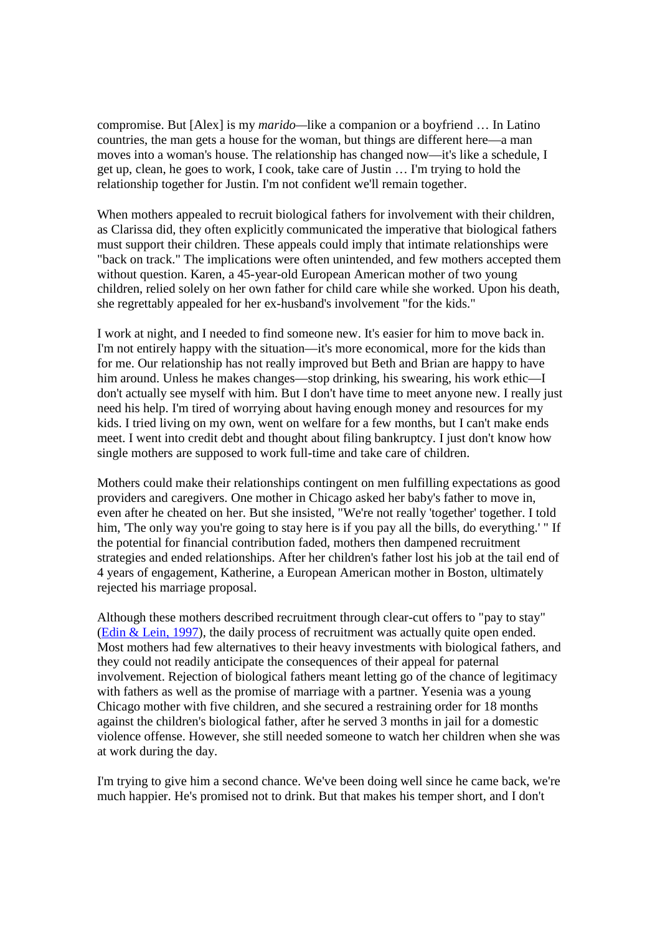compromise. But [Alex] is my *marido—*like a companion or a boyfriend … In Latino countries, the man gets a house for the woman, but things are different here—a man moves into a woman's house. The relationship has changed now—it's like a schedule, I get up, clean, he goes to work, I cook, take care of Justin … I'm trying to hold the relationship together for Justin. I'm not confident we'll remain together.

When mothers appealed to recruit biological fathers for involvement with their children, as Clarissa did, they often explicitly communicated the imperative that biological fathers must support their children. These appeals could imply that intimate relationships were "back on track." The implications were often unintended, and few mothers accepted them without question. Karen, a 45-year-old European American mother of two young children, relied solely on her own father for child care while she worked. Upon his death, she regrettably appealed for her ex-husband's involvement "for the kids."

I work at night, and I needed to find someone new. It's easier for him to move back in. I'm not entirely happy with the situation—it's more economical, more for the kids than for me. Our relationship has not really improved but Beth and Brian are happy to have him around. Unless he makes changes—stop drinking, his swearing, his work ethic—I don't actually see myself with him. But I don't have time to meet anyone new. I really just need his help. I'm tired of worrying about having enough money and resources for my kids. I tried living on my own, went on welfare for a few months, but I can't make ends meet. I went into credit debt and thought about filing bankruptcy. I just don't know how single mothers are supposed to work full-time and take care of children.

Mothers could make their relationships contingent on men fulfilling expectations as good providers and caregivers. One mother in Chicago asked her baby's father to move in, even after he cheated on her. But she insisted, "We're not really 'together' together. I told him, 'The only way you're going to stay here is if you pay all the bills, do everything.' " If the potential for financial contribution faded, mothers then dampened recruitment strategies and ended relationships. After her children's father lost his job at the tail end of 4 years of engagement, Katherine, a European American mother in Boston, ultimately rejected his marriage proposal.

Although these mothers described recruitment through clear-cut offers to "pay to stay" (Edin & Lein, 1997), the daily process of recruitment was actually quite open ended. Most mothers had few alternatives to their heavy investments with biological fathers, and they could not readily anticipate the consequences of their appeal for paternal involvement. Rejection of biological fathers meant letting go of the chance of legitimacy with fathers as well as the promise of marriage with a partner. Yesenia was a young Chicago mother with five children, and she secured a restraining order for 18 months against the children's biological father, after he served 3 months in jail for a domestic violence offense. However, she still needed someone to watch her children when she was at work during the day.

I'm trying to give him a second chance. We've been doing well since he came back, we're much happier. He's promised not to drink. But that makes his temper short, and I don't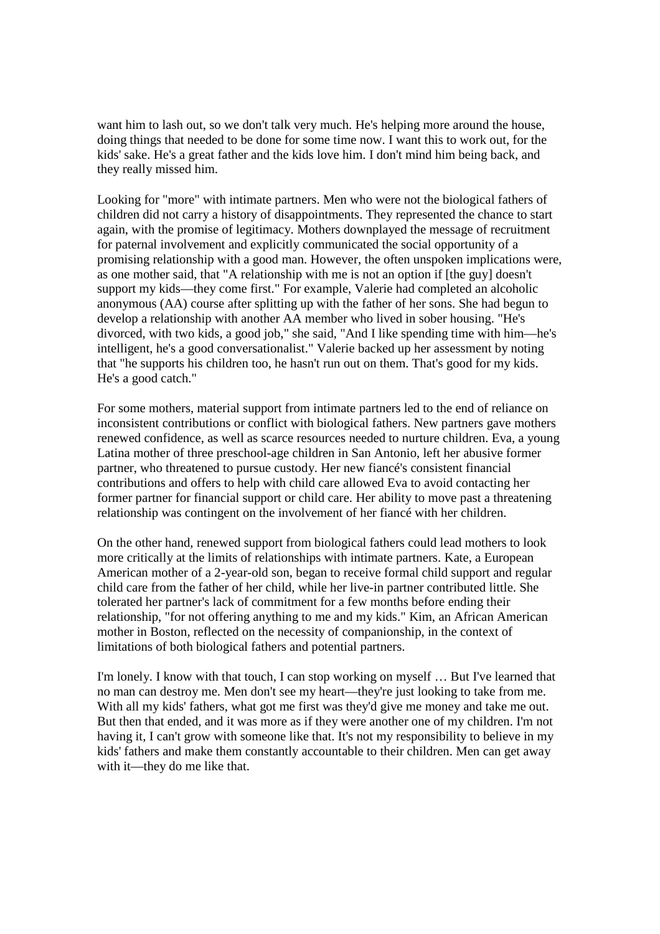want him to lash out, so we don't talk very much. He's helping more around the house, doing things that needed to be done for some time now. I want this to work out, for the kids' sake. He's a great father and the kids love him. I don't mind him being back, and they really missed him.

Looking for "more" with intimate partners. Men who were not the biological fathers of children did not carry a history of disappointments. They represented the chance to start again, with the promise of legitimacy. Mothers downplayed the message of recruitment for paternal involvement and explicitly communicated the social opportunity of a promising relationship with a good man. However, the often unspoken implications were, as one mother said, that "A relationship with me is not an option if [the guy] doesn't support my kids—they come first." For example, Valerie had completed an alcoholic anonymous (AA) course after splitting up with the father of her sons. She had begun to develop a relationship with another AA member who lived in sober housing. "He's divorced, with two kids, a good job," she said, "And I like spending time with him—he's intelligent, he's a good conversationalist." Valerie backed up her assessment by noting that "he supports his children too, he hasn't run out on them. That's good for my kids. He's a good catch."

For some mothers, material support from intimate partners led to the end of reliance on inconsistent contributions or conflict with biological fathers. New partners gave mothers renewed confidence, as well as scarce resources needed to nurture children. Eva, a young Latina mother of three preschool-age children in San Antonio, left her abusive former partner, who threatened to pursue custody. Her new fiancé's consistent financial contributions and offers to help with child care allowed Eva to avoid contacting her former partner for financial support or child care. Her ability to move past a threatening relationship was contingent on the involvement of her fiancé with her children.

On the other hand, renewed support from biological fathers could lead mothers to look more critically at the limits of relationships with intimate partners. Kate, a European American mother of a 2-year-old son, began to receive formal child support and regular child care from the father of her child, while her live-in partner contributed little. She tolerated her partner's lack of commitment for a few months before ending their relationship, "for not offering anything to me and my kids." Kim, an African American mother in Boston, reflected on the necessity of companionship, in the context of limitations of both biological fathers and potential partners.

I'm lonely. I know with that touch, I can stop working on myself … But I've learned that no man can destroy me. Men don't see my heart—they're just looking to take from me. With all my kids' fathers, what got me first was they'd give me money and take me out. But then that ended, and it was more as if they were another one of my children. I'm not having it, I can't grow with someone like that. It's not my responsibility to believe in my kids' fathers and make them constantly accountable to their children. Men can get away with it—they do me like that.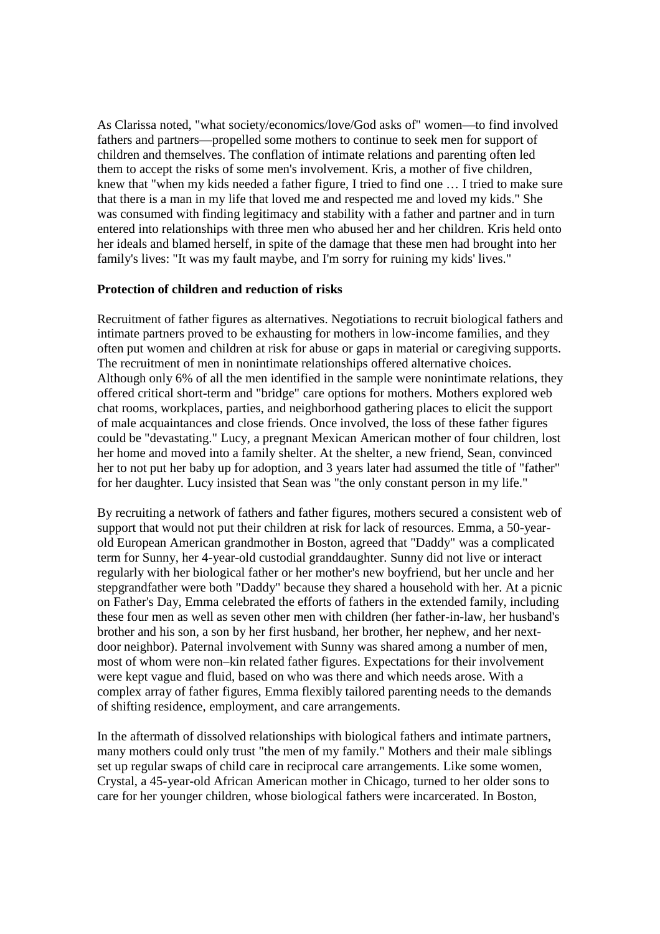As Clarissa noted, "what society/economics/love/God asks of" women—to find involved fathers and partners—propelled some mothers to continue to seek men for support of children and themselves. The conflation of intimate relations and parenting often led them to accept the risks of some men's involvement. Kris, a mother of five children, knew that "when my kids needed a father figure, I tried to find one … I tried to make sure that there is a man in my life that loved me and respected me and loved my kids." She was consumed with finding legitimacy and stability with a father and partner and in turn entered into relationships with three men who abused her and her children. Kris held onto her ideals and blamed herself, in spite of the damage that these men had brought into her family's lives: "It was my fault maybe, and I'm sorry for ruining my kids' lives."

#### **Protection of children and reduction of risks**

Recruitment of father figures as alternatives. Negotiations to recruit biological fathers and intimate partners proved to be exhausting for mothers in low-income families, and they often put women and children at risk for abuse or gaps in material or caregiving supports. The recruitment of men in nonintimate relationships offered alternative choices. Although only 6% of all the men identified in the sample were nonintimate relations, they offered critical short-term and "bridge" care options for mothers. Mothers explored web chat rooms, workplaces, parties, and neighborhood gathering places to elicit the support of male acquaintances and close friends. Once involved, the loss of these father figures could be "devastating." Lucy, a pregnant Mexican American mother of four children, lost her home and moved into a family shelter. At the shelter, a new friend, Sean, convinced her to not put her baby up for adoption, and 3 years later had assumed the title of "father" for her daughter. Lucy insisted that Sean was "the only constant person in my life."

By recruiting a network of fathers and father figures, mothers secured a consistent web of support that would not put their children at risk for lack of resources. Emma, a 50-yearold European American grandmother in Boston, agreed that "Daddy" was a complicated term for Sunny, her 4-year-old custodial granddaughter. Sunny did not live or interact regularly with her biological father or her mother's new boyfriend, but her uncle and her stepgrandfather were both "Daddy" because they shared a household with her. At a picnic on Father's Day, Emma celebrated the efforts of fathers in the extended family, including these four men as well as seven other men with children (her father-in-law, her husband's brother and his son, a son by her first husband, her brother, her nephew, and her nextdoor neighbor). Paternal involvement with Sunny was shared among a number of men, most of whom were non–kin related father figures. Expectations for their involvement were kept vague and fluid, based on who was there and which needs arose. With a complex array of father figures, Emma flexibly tailored parenting needs to the demands of shifting residence, employment, and care arrangements.

In the aftermath of dissolved relationships with biological fathers and intimate partners, many mothers could only trust "the men of my family." Mothers and their male siblings set up regular swaps of child care in reciprocal care arrangements. Like some women, Crystal, a 45-year-old African American mother in Chicago, turned to her older sons to care for her younger children, whose biological fathers were incarcerated. In Boston,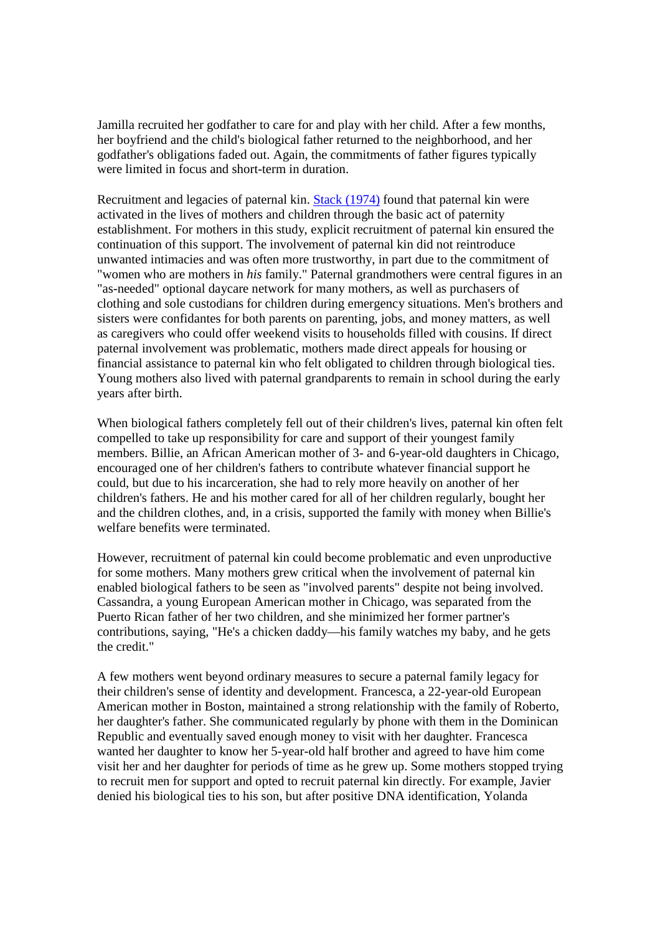Jamilla recruited her godfather to care for and play with her child. After a few months, her boyfriend and the child's biological father returned to the neighborhood, and her godfather's obligations faded out. Again, the commitments of father figures typically were limited in focus and short-term in duration.

Recruitment and legacies of paternal kin. Stack (1974) found that paternal kin were activated in the lives of mothers and children through the basic act of paternity establishment. For mothers in this study, explicit recruitment of paternal kin ensured the continuation of this support. The involvement of paternal kin did not reintroduce unwanted intimacies and was often more trustworthy, in part due to the commitment of "women who are mothers in *his* family." Paternal grandmothers were central figures in an "as-needed" optional daycare network for many mothers, as well as purchasers of clothing and sole custodians for children during emergency situations. Men's brothers and sisters were confidantes for both parents on parenting, jobs, and money matters, as well as caregivers who could offer weekend visits to households filled with cousins. If direct paternal involvement was problematic, mothers made direct appeals for housing or financial assistance to paternal kin who felt obligated to children through biological ties. Young mothers also lived with paternal grandparents to remain in school during the early years after birth.

When biological fathers completely fell out of their children's lives, paternal kin often felt compelled to take up responsibility for care and support of their youngest family members. Billie, an African American mother of 3- and 6-year-old daughters in Chicago, encouraged one of her children's fathers to contribute whatever financial support he could, but due to his incarceration, she had to rely more heavily on another of her children's fathers. He and his mother cared for all of her children regularly, bought her and the children clothes, and, in a crisis, supported the family with money when Billie's welfare benefits were terminated.

However, recruitment of paternal kin could become problematic and even unproductive for some mothers. Many mothers grew critical when the involvement of paternal kin enabled biological fathers to be seen as "involved parents" despite not being involved. Cassandra, a young European American mother in Chicago, was separated from the Puerto Rican father of her two children, and she minimized her former partner's contributions, saying, "He's a chicken daddy—his family watches my baby, and he gets the credit."

A few mothers went beyond ordinary measures to secure a paternal family legacy for their children's sense of identity and development. Francesca, a 22-year-old European American mother in Boston, maintained a strong relationship with the family of Roberto, her daughter's father. She communicated regularly by phone with them in the Dominican Republic and eventually saved enough money to visit with her daughter. Francesca wanted her daughter to know her 5-year-old half brother and agreed to have him come visit her and her daughter for periods of time as he grew up. Some mothers stopped trying to recruit men for support and opted to recruit paternal kin directly. For example, Javier denied his biological ties to his son, but after positive DNA identification, Yolanda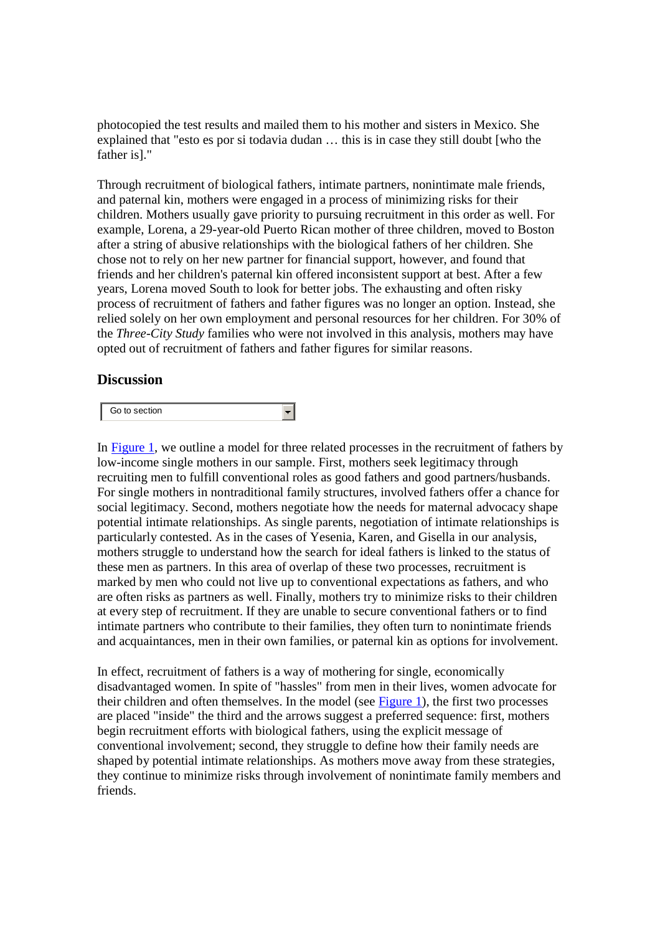photocopied the test results and mailed them to his mother and sisters in Mexico. She explained that "esto es por si todavia dudan … this is in case they still doubt [who the father is]."

Through recruitment of biological fathers, intimate partners, nonintimate male friends, and paternal kin, mothers were engaged in a process of minimizing risks for their children. Mothers usually gave priority to pursuing recruitment in this order as well. For example, Lorena, a 29-year-old Puerto Rican mother of three children, moved to Boston after a string of abusive relationships with the biological fathers of her children. She chose not to rely on her new partner for financial support, however, and found that friends and her children's paternal kin offered inconsistent support at best. After a few years, Lorena moved South to look for better jobs. The exhausting and often risky process of recruitment of fathers and father figures was no longer an option. Instead, she relied solely on her own employment and personal resources for her children. For 30% of the *Three-City Study* families who were not involved in this analysis, mothers may have opted out of recruitment of fathers and father figures for similar reasons.

## **Discussion**

Go to section

In Figure 1, we outline a model for three related processes in the recruitment of fathers by low-income single mothers in our sample. First, mothers seek legitimacy through recruiting men to fulfill conventional roles as good fathers and good partners/husbands. For single mothers in nontraditional family structures, involved fathers offer a chance for social legitimacy. Second, mothers negotiate how the needs for maternal advocacy shape potential intimate relationships. As single parents, negotiation of intimate relationships is particularly contested. As in the cases of Yesenia, Karen, and Gisella in our analysis, mothers struggle to understand how the search for ideal fathers is linked to the status of these men as partners. In this area of overlap of these two processes, recruitment is marked by men who could not live up to conventional expectations as fathers, and who are often risks as partners as well. Finally, mothers try to minimize risks to their children at every step of recruitment. If they are unable to secure conventional fathers or to find intimate partners who contribute to their families, they often turn to nonintimate friends and acquaintances, men in their own families, or paternal kin as options for involvement.

 $\vert \cdot \vert$ 

In effect, recruitment of fathers is a way of mothering for single, economically disadvantaged women. In spite of "hassles" from men in their lives, women advocate for their children and often themselves. In the model (see Figure 1), the first two processes are placed "inside" the third and the arrows suggest a preferred sequence: first, mothers begin recruitment efforts with biological fathers, using the explicit message of conventional involvement; second, they struggle to define how their family needs are shaped by potential intimate relationships. As mothers move away from these strategies, they continue to minimize risks through involvement of nonintimate family members and friends.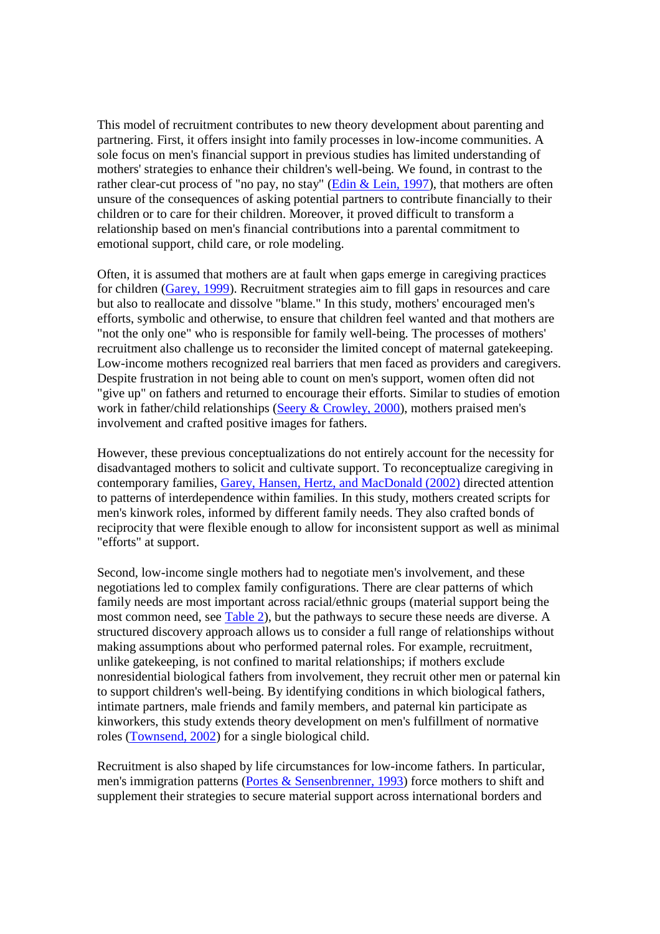This model of recruitment contributes to new theory development about parenting and partnering. First, it offers insight into family processes in low-income communities. A sole focus on men's financial support in previous studies has limited understanding of mothers' strategies to enhance their children's well-being. We found, in contrast to the rather clear-cut process of "no pay, no stay" (Edin  $&$  Lein, 1997), that mothers are often unsure of the consequences of asking potential partners to contribute financially to their children or to care for their children. Moreover, it proved difficult to transform a relationship based on men's financial contributions into a parental commitment to emotional support, child care, or role modeling.

Often, it is assumed that mothers are at fault when gaps emerge in caregiving practices for children (Garey, 1999). Recruitment strategies aim to fill gaps in resources and care but also to reallocate and dissolve "blame." In this study, mothers' encouraged men's efforts, symbolic and otherwise, to ensure that children feel wanted and that mothers are "not the only one" who is responsible for family well-being. The processes of mothers' recruitment also challenge us to reconsider the limited concept of maternal gatekeeping. Low-income mothers recognized real barriers that men faced as providers and caregivers. Despite frustration in not being able to count on men's support, women often did not "give up" on fathers and returned to encourage their efforts. Similar to studies of emotion work in father/child relationships (Seery & Crowley, 2000), mothers praised men's involvement and crafted positive images for fathers.

However, these previous conceptualizations do not entirely account for the necessity for disadvantaged mothers to solicit and cultivate support. To reconceptualize caregiving in contemporary families, Garey, Hansen, Hertz, and MacDonald (2002) directed attention to patterns of interdependence within families. In this study, mothers created scripts for men's kinwork roles, informed by different family needs. They also crafted bonds of reciprocity that were flexible enough to allow for inconsistent support as well as minimal "efforts" at support.

Second, low-income single mothers had to negotiate men's involvement, and these negotiations led to complex family configurations. There are clear patterns of which family needs are most important across racial/ethnic groups (material support being the most common need, see Table 2), but the pathways to secure these needs are diverse. A structured discovery approach allows us to consider a full range of relationships without making assumptions about who performed paternal roles. For example, recruitment, unlike gatekeeping, is not confined to marital relationships; if mothers exclude nonresidential biological fathers from involvement, they recruit other men or paternal kin to support children's well-being. By identifying conditions in which biological fathers, intimate partners, male friends and family members, and paternal kin participate as kinworkers, this study extends theory development on men's fulfillment of normative roles (Townsend, 2002) for a single biological child.

Recruitment is also shaped by life circumstances for low-income fathers. In particular, men's immigration patterns (Portes & Sensenbrenner, 1993) force mothers to shift and supplement their strategies to secure material support across international borders and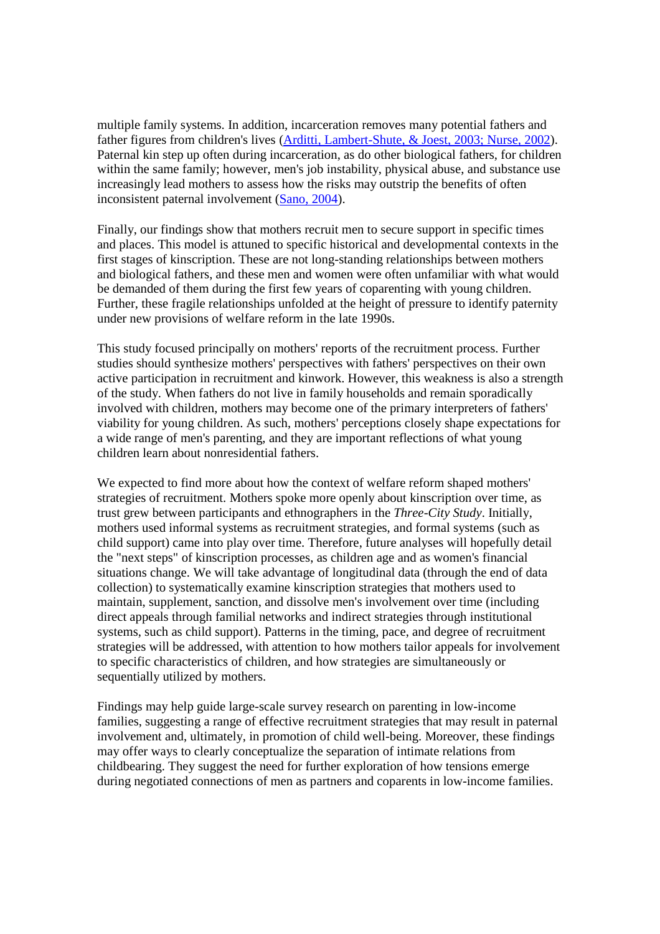multiple family systems. In addition, incarceration removes many potential fathers and father figures from children's lives (Arditti, Lambert-Shute, & Joest, 2003; Nurse, 2002). Paternal kin step up often during incarceration, as do other biological fathers, for children within the same family; however, men's job instability, physical abuse, and substance use increasingly lead mothers to assess how the risks may outstrip the benefits of often inconsistent paternal involvement (Sano, 2004).

Finally, our findings show that mothers recruit men to secure support in specific times and places. This model is attuned to specific historical and developmental contexts in the first stages of kinscription. These are not long-standing relationships between mothers and biological fathers, and these men and women were often unfamiliar with what would be demanded of them during the first few years of coparenting with young children. Further, these fragile relationships unfolded at the height of pressure to identify paternity under new provisions of welfare reform in the late 1990s.

This study focused principally on mothers' reports of the recruitment process. Further studies should synthesize mothers' perspectives with fathers' perspectives on their own active participation in recruitment and kinwork. However, this weakness is also a strength of the study. When fathers do not live in family households and remain sporadically involved with children, mothers may become one of the primary interpreters of fathers' viability for young children. As such, mothers' perceptions closely shape expectations for a wide range of men's parenting, and they are important reflections of what young children learn about nonresidential fathers.

We expected to find more about how the context of welfare reform shaped mothers' strategies of recruitment. Mothers spoke more openly about kinscription over time, as trust grew between participants and ethnographers in the *Three-City Study*. Initially, mothers used informal systems as recruitment strategies, and formal systems (such as child support) came into play over time. Therefore, future analyses will hopefully detail the "next steps" of kinscription processes, as children age and as women's financial situations change. We will take advantage of longitudinal data (through the end of data collection) to systematically examine kinscription strategies that mothers used to maintain, supplement, sanction, and dissolve men's involvement over time (including direct appeals through familial networks and indirect strategies through institutional systems, such as child support). Patterns in the timing, pace, and degree of recruitment strategies will be addressed, with attention to how mothers tailor appeals for involvement to specific characteristics of children, and how strategies are simultaneously or sequentially utilized by mothers.

Findings may help guide large-scale survey research on parenting in low-income families, suggesting a range of effective recruitment strategies that may result in paternal involvement and, ultimately, in promotion of child well-being. Moreover, these findings may offer ways to clearly conceptualize the separation of intimate relations from childbearing. They suggest the need for further exploration of how tensions emerge during negotiated connections of men as partners and coparents in low-income families.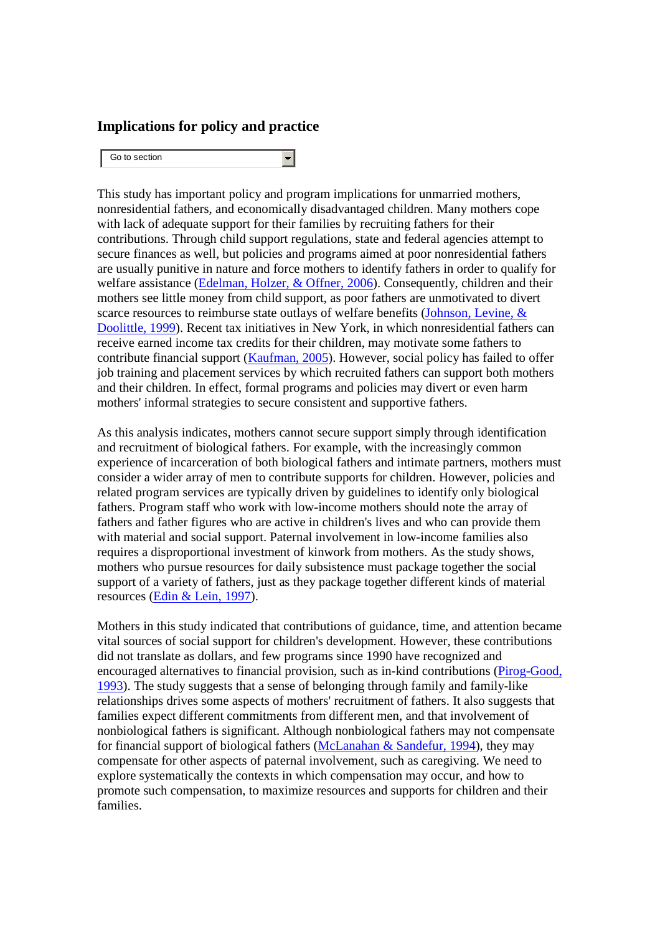# **Implications for policy and practice**

Go to section

This study has important policy and program implications for unmarried mothers, nonresidential fathers, and economically disadvantaged children. Many mothers cope with lack of adequate support for their families by recruiting fathers for their contributions. Through child support regulations, state and federal agencies attempt to secure finances as well, but policies and programs aimed at poor nonresidential fathers are usually punitive in nature and force mothers to identify fathers in order to qualify for welfare assistance (Edelman, Holzer, & Offner, 2006). Consequently, children and their mothers see little money from child support, as poor fathers are unmotivated to divert scarce resources to reimburse state outlays of welfare benefits (Johnson, Levine, & Doolittle, 1999). Recent tax initiatives in New York, in which nonresidential fathers can receive earned income tax credits for their children, may motivate some fathers to contribute financial support (Kaufman, 2005). However, social policy has failed to offer job training and placement services by which recruited fathers can support both mothers and their children. In effect, formal programs and policies may divert or even harm mothers' informal strategies to secure consistent and supportive fathers.

 $\blacksquare$ 

As this analysis indicates, mothers cannot secure support simply through identification and recruitment of biological fathers. For example, with the increasingly common experience of incarceration of both biological fathers and intimate partners, mothers must consider a wider array of men to contribute supports for children. However, policies and related program services are typically driven by guidelines to identify only biological fathers. Program staff who work with low-income mothers should note the array of fathers and father figures who are active in children's lives and who can provide them with material and social support. Paternal involvement in low-income families also requires a disproportional investment of kinwork from mothers. As the study shows, mothers who pursue resources for daily subsistence must package together the social support of a variety of fathers, just as they package together different kinds of material resources (Edin & Lein, 1997).

Mothers in this study indicated that contributions of guidance, time, and attention became vital sources of social support for children's development. However, these contributions did not translate as dollars, and few programs since 1990 have recognized and encouraged alternatives to financial provision, such as in-kind contributions (Pirog-Good, 1993). The study suggests that a sense of belonging through family and family-like relationships drives some aspects of mothers' recruitment of fathers. It also suggests that families expect different commitments from different men, and that involvement of nonbiological fathers is significant. Although nonbiological fathers may not compensate for financial support of biological fathers (McLanahan & Sandefur, 1994), they may compensate for other aspects of paternal involvement, such as caregiving. We need to explore systematically the contexts in which compensation may occur, and how to promote such compensation, to maximize resources and supports for children and their families.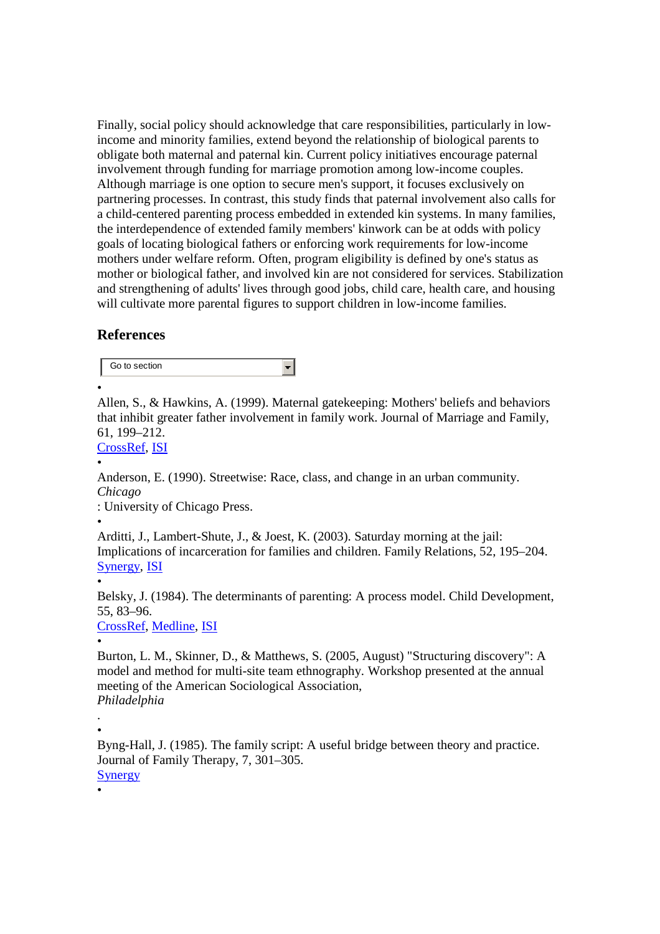Finally, social policy should acknowledge that care responsibilities, particularly in lowincome and minority families, extend beyond the relationship of biological parents to obligate both maternal and paternal kin. Current policy initiatives encourage paternal involvement through funding for marriage promotion among low-income couples. Although marriage is one option to secure men's support, it focuses exclusively on partnering processes. In contrast, this study finds that paternal involvement also calls for a child-centered parenting process embedded in extended kin systems. In many families, the interdependence of extended family members' kinwork can be at odds with policy goals of locating biological fathers or enforcing work requirements for low-income mothers under welfare reform. Often, program eligibility is defined by one's status as mother or biological father, and involved kin are not considered for services. Stabilization and strengthening of adults' lives through good jobs, child care, health care, and housing will cultivate more parental figures to support children in low-income families.

## **References**



• Allen, S., & Hawkins, A. (1999). Maternal gatekeeping: Mothers' beliefs and behaviors that inhibit greater father involvement in family work. Journal of Marriage and Family, 61, 199–212.

CrossRef, ISI

•

Anderson, E. (1990). Streetwise: Race, class, and change in an urban community. *Chicago* 

: University of Chicago Press.

•

Arditti, J., Lambert-Shute, J., & Joest, K. (2003). Saturday morning at the jail: Implications of incarceration for families and children. Family Relations, 52, 195–204. Synergy, ISI

•

Belsky, J. (1984). The determinants of parenting: A process model. Child Development, 55, 83–96.

CrossRef, Medline, ISI

•

Burton, L. M., Skinner, D., & Matthews, S. (2005, August) "Structuring discovery": A model and method for multi-site team ethnography. Workshop presented at the annual meeting of the American Sociological Association, *Philadelphia* 

. •

Byng-Hall, J. (1985). The family script: A useful bridge between theory and practice. Journal of Family Therapy, 7, 301–305. Synergy

•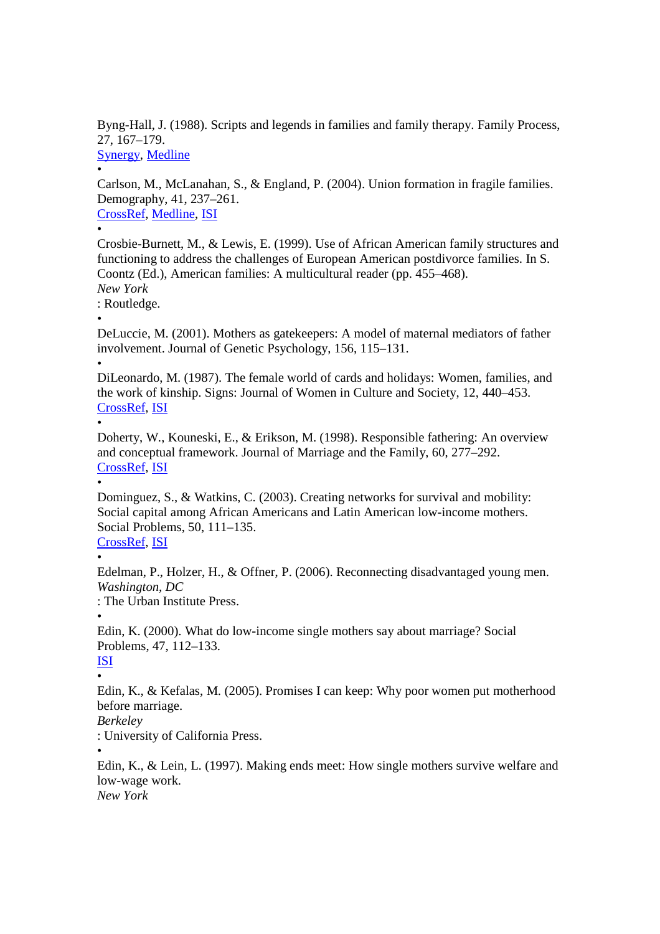Byng-Hall, J. (1988). Scripts and legends in families and family therapy. Family Process, 27, 167–179.

Synergy, Medline •

Carlson, M., McLanahan, S., & England, P. (2004). Union formation in fragile families. Demography, 41, 237–261. CrossRef, Medline, ISI

•

Crosbie-Burnett, M., & Lewis, E. (1999). Use of African American family structures and functioning to address the challenges of European American postdivorce families. In S. Coontz (Ed.), American families: A multicultural reader (pp. 455–468). *New York* 

: Routledge.

•

DeLuccie, M. (2001). Mothers as gatekeepers: A model of maternal mediators of father involvement. Journal of Genetic Psychology, 156, 115–131.

•

DiLeonardo, M. (1987). The female world of cards and holidays: Women, families, and the work of kinship. Signs: Journal of Women in Culture and Society, 12, 440–453. CrossRef, ISI

• Doherty, W., Kouneski, E., & Erikson, M. (1998). Responsible fathering: An overview and conceptual framework. Journal of Marriage and the Family, 60, 277–292. CrossRef, ISI

•

Dominguez, S., & Watkins, C. (2003). Creating networks for survival and mobility: Social capital among African Americans and Latin American low-income mothers. Social Problems, 50, 111–135.

#### CrossRef, ISI •

Edelman, P., Holzer, H., & Offner, P. (2006). Reconnecting disadvantaged young men. *Washington, DC* 

: The Urban Institute Press.

•

Edin, K. (2000). What do low-income single mothers say about marriage? Social Problems, 47, 112–133.

#### ISI •

Edin, K., & Kefalas, M. (2005). Promises I can keep: Why poor women put motherhood before marriage.

*Berkeley* 

: University of California Press.

•

Edin, K., & Lein, L. (1997). Making ends meet: How single mothers survive welfare and low-wage work. *New York*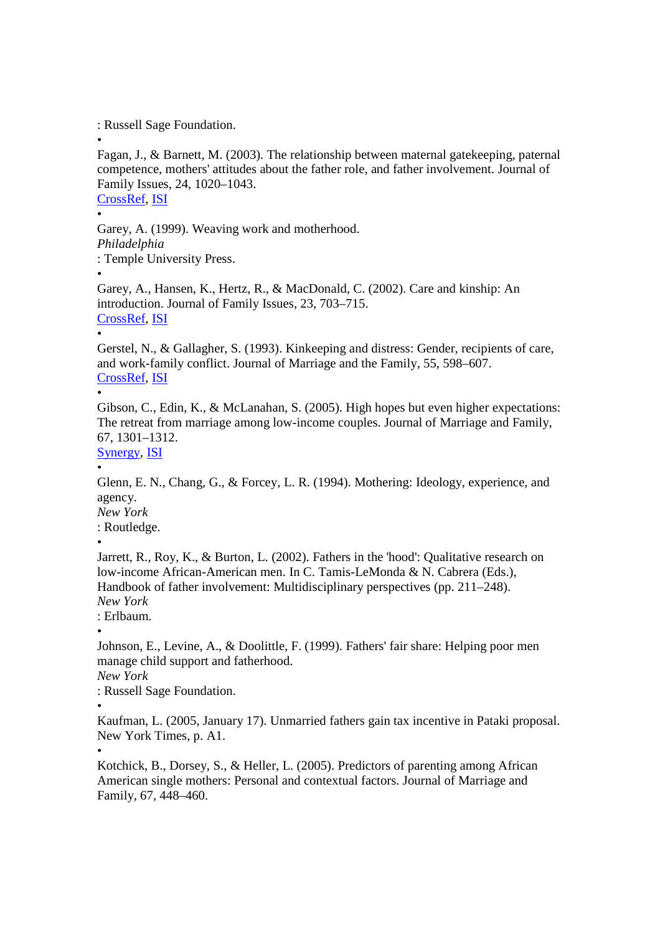: Russell Sage Foundation.

• Fagan, J., & Barnett, M. (2003). The relationship between maternal gatekeeping, paternal competence, mothers' attitudes about the father role, and father involvement. Journal of Family Issues, 24, 1020–1043.

CrossRef, ISI •

Garey, A. (1999). Weaving work and motherhood. *Philadelphia*  : Temple University Press.

•

Garey, A., Hansen, K., Hertz, R., & MacDonald, C. (2002). Care and kinship: An introduction. Journal of Family Issues, 23, 703–715. CrossRef, ISI

•

Gerstel, N., & Gallagher, S. (1993). Kinkeeping and distress: Gender, recipients of care, and work-family conflict. Journal of Marriage and the Family, 55, 598–607. CrossRef, ISI

•

Gibson, C., Edin, K., & McLanahan, S. (2005). High hopes but even higher expectations: The retreat from marriage among low-income couples. Journal of Marriage and Family, 67, 1301–1312.

Synergy, ISI

•

Glenn, E. N., Chang, G., & Forcey, L. R. (1994). Mothering: Ideology, experience, and agency.

*New York*  : Routledge.

•

Jarrett, R., Roy, K., & Burton, L. (2002). Fathers in the 'hood': Qualitative research on low-income African-American men. In C. Tamis-LeMonda & N. Cabrera (Eds.), Handbook of father involvement: Multidisciplinary perspectives (pp. 211–248). *New York* 

: Erlbaum.

•

Johnson, E., Levine, A., & Doolittle, F. (1999). Fathers' fair share: Helping poor men manage child support and fatherhood.

*New York* 

: Russell Sage Foundation.

•

Kaufman, L. (2005, January 17). Unmarried fathers gain tax incentive in Pataki proposal. New York Times, p. A1.

•

Kotchick, B., Dorsey, S., & Heller, L. (2005). Predictors of parenting among African American single mothers: Personal and contextual factors. Journal of Marriage and Family, 67, 448–460.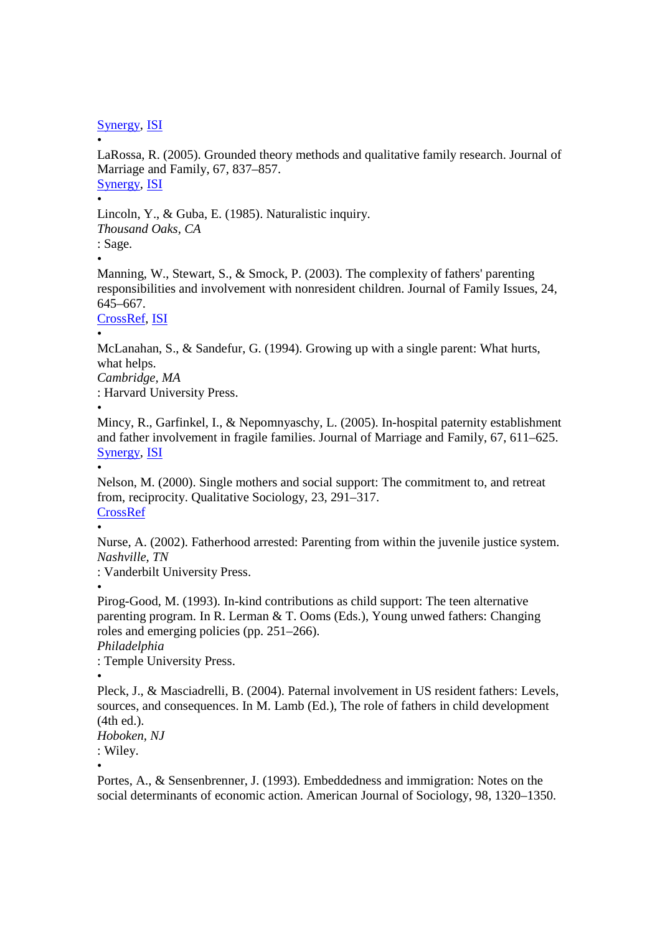Synergy, ISI

• LaRossa, R. (2005). Grounded theory methods and qualitative family research. Journal of Marriage and Family, 67, 837–857. Synergy, ISI •

Lincoln, Y., & Guba, E. (1985). Naturalistic inquiry. *Thousand Oaks, CA*  : Sage.

•

Manning, W., Stewart, S., & Smock, P. (2003). The complexity of fathers' parenting responsibilities and involvement with nonresident children. Journal of Family Issues, 24, 645–667.

CrossRef, ISI

•

McLanahan, S., & Sandefur, G. (1994). Growing up with a single parent: What hurts, what helps.

*Cambridge, MA* 

: Harvard University Press.

•

Mincy, R., Garfinkel, I., & Nepomnyaschy, L. (2005). In-hospital paternity establishment and father involvement in fragile families. Journal of Marriage and Family, 67, 611–625. Synergy, ISI

•

•

Nelson, M. (2000). Single mothers and social support: The commitment to, and retreat from, reciprocity. Qualitative Sociology, 23, 291–317. CrossRef

Nurse, A. (2002). Fatherhood arrested: Parenting from within the juvenile justice system. *Nashville, TN* 

: Vanderbilt University Press.

• Pirog-Good, M. (1993). In-kind contributions as child support: The teen alternative parenting program. In R. Lerman & T. Ooms (Eds.), Young unwed fathers: Changing roles and emerging policies (pp. 251–266).

*Philadelphia* 

: Temple University Press.

```
•
```
Pleck, J., & Masciadrelli, B. (2004). Paternal involvement in US resident fathers: Levels, sources, and consequences. In M. Lamb (Ed.), The role of fathers in child development (4th ed.).

*Hoboken, NJ* 

: Wiley.

•

Portes, A., & Sensenbrenner, J. (1993). Embeddedness and immigration: Notes on the social determinants of economic action. American Journal of Sociology, 98, 1320–1350.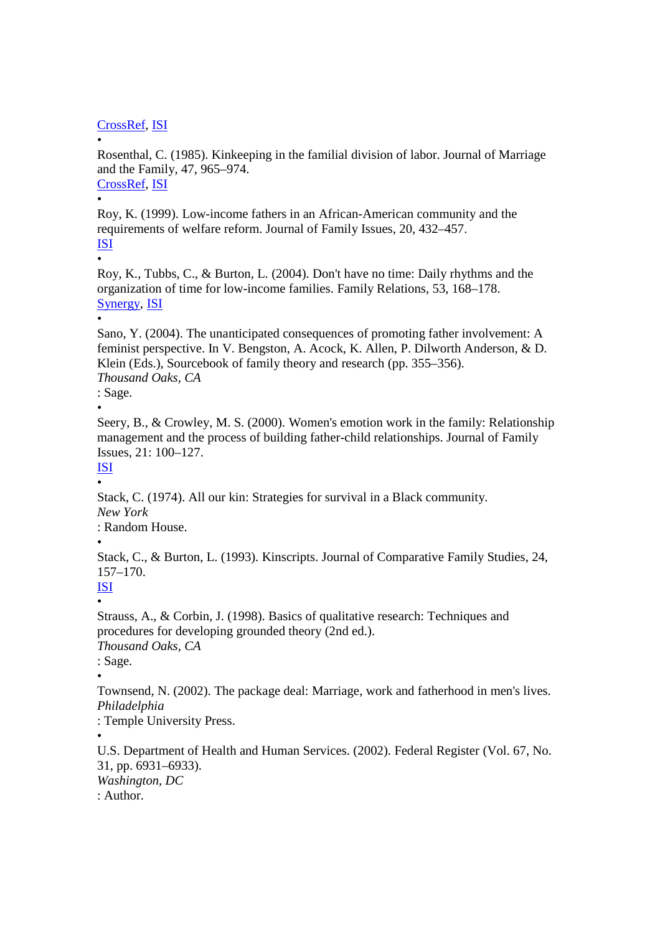## CrossRef, ISI

• Rosenthal, C. (1985). Kinkeeping in the familial division of labor. Journal of Marriage and the Family, 47, 965–974. CrossRef, ISI

• Roy, K. (1999). Low-income fathers in an African-American community and the requirements of welfare reform. Journal of Family Issues, 20, 432–457. ISI

• Roy, K., Tubbs, C., & Burton, L. (2004). Don't have no time: Daily rhythms and the organization of time for low-income families. Family Relations, 53, 168–178. Synergy, ISI

•

Sano, Y. (2004). The unanticipated consequences of promoting father involvement: A feminist perspective. In V. Bengston, A. Acock, K. Allen, P. Dilworth Anderson, & D. Klein (Eds.), Sourcebook of family theory and research (pp. 355–356). *Thousand Oaks, CA* 

: Sage.

•

Seery, B., & Crowley, M. S. (2000). Women's emotion work in the family: Relationship management and the process of building father-child relationships. Journal of Family Issues, 21: 100–127.

ISI •

Stack, C. (1974). All our kin: Strategies for survival in a Black community. *New York* 

: Random House.

•

Stack, C., & Burton, L. (1993). Kinscripts. Journal of Comparative Family Studies, 24, 157–170.

ISI •

Strauss, A., & Corbin, J. (1998). Basics of qualitative research: Techniques and procedures for developing grounded theory (2nd ed.). *Thousand Oaks, CA*  : Sage.

•

Townsend, N. (2002). The package deal: Marriage, work and fatherhood in men's lives. *Philadelphia* 

: Temple University Press.

•

U.S. Department of Health and Human Services. (2002). Federal Register (Vol. 67, No. 31, pp. 6931–6933). *Washington, DC*  : Author.